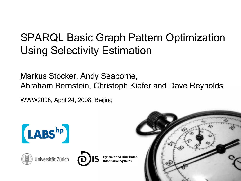### SPARQL Basic Graph Pattern Optimization Using Selectivity Estimation

Markus Stocker, Andy Seaborne, Abraham Bernstein, Christoph Kiefer and Dave Reynolds

WWW2008, April 24, 2008, Beijing

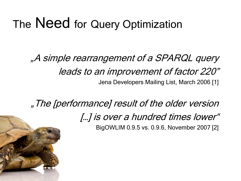### The Need for Query Optimization

"A simple rearrangement of a SPARQL query leads to an improvement of factor 220" Jena Developers Mailing List, March 2006 [1]

"The [performance] result of the older version [...] is over a hundred times lower" BigOWLIM 0.9.5 vs. 0.9.6, November 2007 [2]

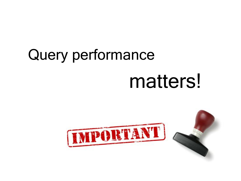# Query performance matters!

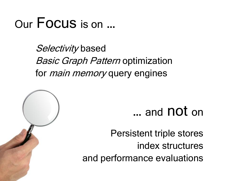## Our Focus is on …

Selectivity based **Basic Graph Pattern optimization** for *main memory* query engines



Persistent triple stores index structures and performance evaluations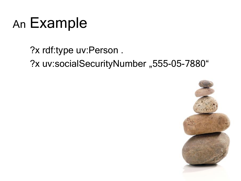## An Example

?x rdf:type uv:Person . ?x uv:socialSecurityNumber "555-05-7880"

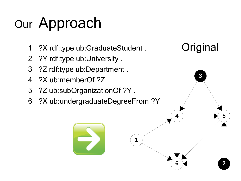## Our Approach

- ?X rdf:type ub:GraduateStudent .
- ?Y rdf:type ub:University .
- ?Z rdf:type ub:Department .
- ?X ub:memberOf ?Z .
- ?Z ub:subOrganizationOf ?Y .
- ?X ub:undergraduateDegreeFrom ?Y .



**5**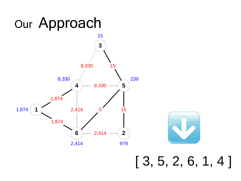#### **2 4 5** 8,330 **6** 15 239 0 8,330 8,330 979 15 2,414 2,414 2,414 1,874 1,874 [ 3, 5, 2, 6, 1, 4 ]

## Our Approach

**3**

15

**1**

1,874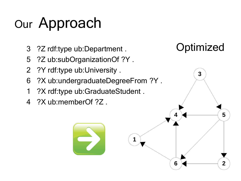## Our Approach

- ?Z rdf:type ub:Department .
- ?Z ub:subOrganizationOf ?Y .
- ?Y rdf:type ub:University .
- ?X ub:undergraduateDegreeFrom ?Y .

- ?X rdf:type ub:GraduateStudent.
- ?X ub:memberOf ?Z .

### **Optimized**

**5**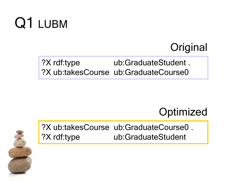## Q1 LUBM

### **Original**

#### ?X rdf:type ub:GraduateStudent . ?X ub:takesCourse ub:GraduateCourse0

### **Optimized**



?X ub:takesCourse ub:GraduateCourse0 . ?X rdf:type ub:GraduateStudent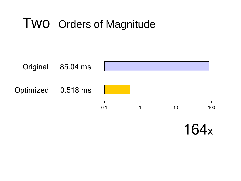### Two Orders of Magnitude



164x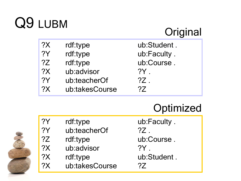## Q9 LUBM

### **Original**

| ?X | rdf:type       | ub:Student. |
|----|----------------|-------------|
| 2Y | rdf:type       | ub:Faculty. |
| 2Z | rdf:type       | ub:Course.  |
| 2X | ub:advisor     | ?Y          |
| 2Y | ub:teacherOf   | $?Z$ .      |
| 2X | ub:takesCourse | ?7          |

### **Optimized**

| ?Y | rdf:type       | ub:F       |
|----|----------------|------------|
| ?Y | ub:teacherOf   | $?Z$ .     |
| ?Z | rdf:type       | $ub$ : $C$ |
| ?X | ub:advisor     | $?Y$ .     |
| ?X | rdf:type       | $ub$ :     |
| 2X | ub:takesCourse | 2Z         |

:Faculty . Course . Student .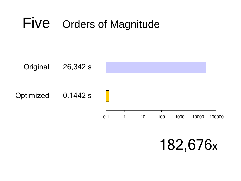## Five Orders of Magnitude



182,676x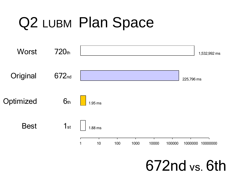## Q2 LUBM Plan Space



672nd vs. 6th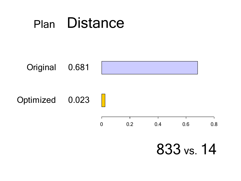## Plan Distance

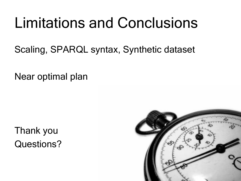## Limitations and Conclusions

Scaling, SPARQL syntax, Synthetic dataset

Near optimal plan

Thank you Questions?